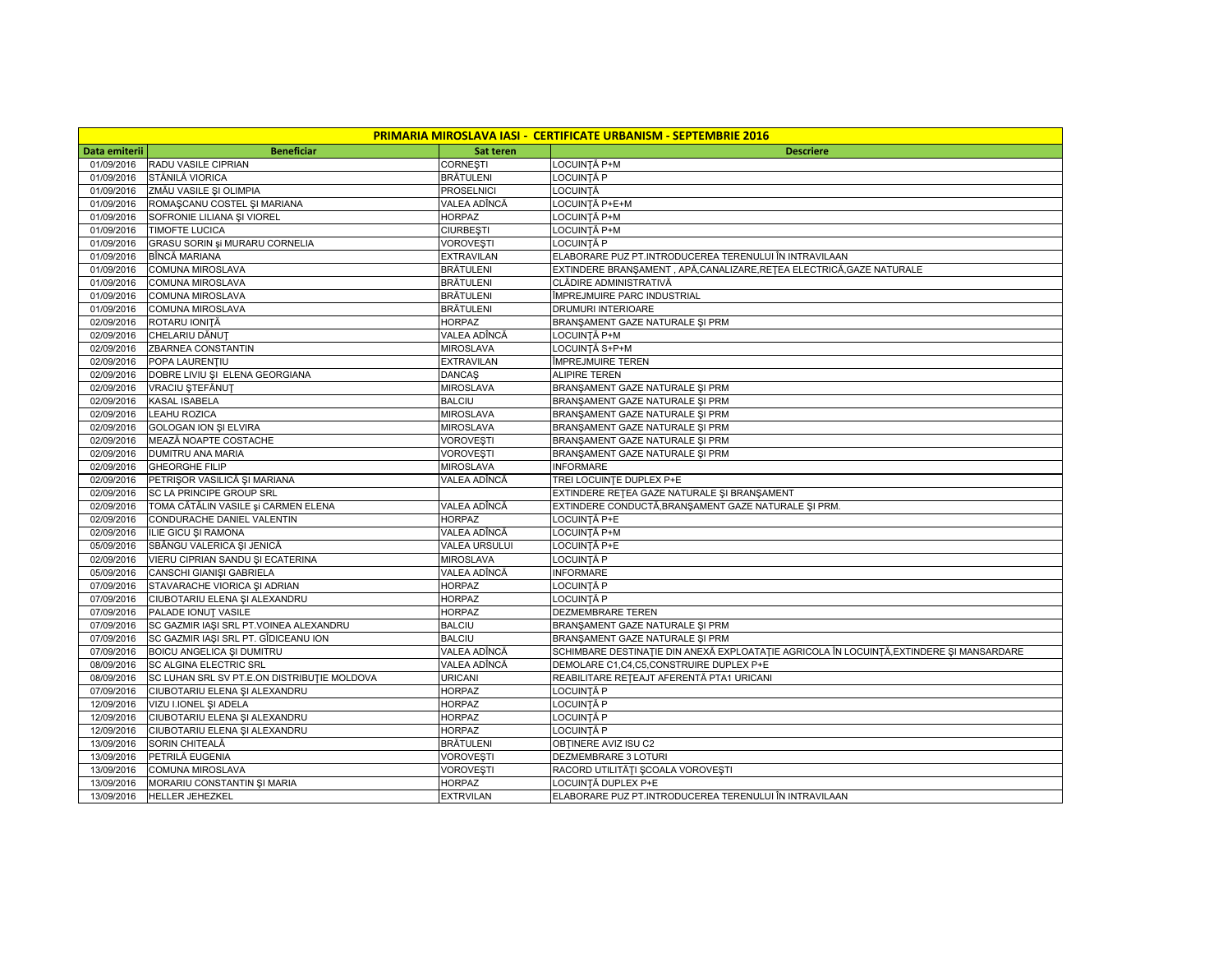| <b>PRIMARIA MIROSLAVA IASI - CERTIFICATE URBANISM - SEPTEMBRIE 2016</b> |                                                                |                                |                                                                                         |  |  |  |
|-------------------------------------------------------------------------|----------------------------------------------------------------|--------------------------------|-----------------------------------------------------------------------------------------|--|--|--|
| Data emiterii                                                           | <b>Beneficiar</b>                                              | <b>Sat teren</b>               | <b>Descriere</b>                                                                        |  |  |  |
| 01/09/2016                                                              | RADU VASILE CIPRIAN                                            | CORNEȘTI                       | .OCUINTĂ P+M                                                                            |  |  |  |
| 01/09/2016                                                              | STĂNILĂ VIORICA                                                | <b>BRĂTULENI</b>               | LOCUINTĂ P                                                                              |  |  |  |
| 01/09/2016                                                              | ZMĂU VASILE ȘI OLIMPIA                                         | PROSELNICI                     | LOCUINTĂ                                                                                |  |  |  |
| 01/09/2016                                                              | ROMAȘCANU COSTEL ȘI MARIANA                                    | VALEA ADÎNCĂ                   | LOCUINȚĂ P+E+M                                                                          |  |  |  |
| 01/09/2016                                                              | SOFRONIE LILIANA ȘI VIOREL                                     | <b>HORPAZ</b>                  | LOCUINȚĂ P+M                                                                            |  |  |  |
| 01/09/2016                                                              | <b>TIMOFTE LUCICA</b>                                          | <b>CIURBESTI</b>               | LOCUINȚĂ P+M                                                                            |  |  |  |
| 01/09/2016                                                              | GRASU SORIN și MURARU CORNELIA                                 | VOROVEȘTI                      | LOCUINTĂ P                                                                              |  |  |  |
| 01/09/2016                                                              | BÎNCĂ MARIANA                                                  | <b>EXTRAVILAN</b>              | ELABORARE PUZ PT.INTRODUCEREA TERENULUI ÎN INTRAVILAAN                                  |  |  |  |
| 01/09/2016                                                              | COMUNA MIROSLAVA                                               | BRĂTULENI                      | EXTINDERE BRANSAMENT , APĂ,CANALIZARE,REȚEA ELECTRICĂ,GAZE NATURALE                     |  |  |  |
| 01/09/2016                                                              | COMUNA MIROSLAVA                                               | BRĂTULENI                      | CLĂDIRE ADMINISTRATIVĂ                                                                  |  |  |  |
| 01/09/2016                                                              | COMUNA MIROSLAVA                                               | BRĂTULENI                      | ÎMPREJMUIRE PARC INDUSTRIAL                                                             |  |  |  |
| 01/09/2016                                                              | COMUNA MIROSLAVA                                               | BRĂTULENI                      | DRUMURI INTERIOARE                                                                      |  |  |  |
| 02/09/2016                                                              | ROTARU IONITĂ                                                  | <b>HORPAZ</b>                  | BRANŞAMENT GAZE NATURALE ŞI PRM                                                         |  |  |  |
| 02/09/2016                                                              | CHELARIU DĂNUȚ                                                 | VALEA ADÎNCĂ                   | LOCUINȚĂ P+M                                                                            |  |  |  |
| 02/09/2016                                                              | ZBARNEA CONSTANTIN                                             | <b>MIROSLAVA</b>               | LOCUINȚĂ S+P+M                                                                          |  |  |  |
| 02/09/2016                                                              | POPA LAURENTIU                                                 | <b>EXTRAVILAN</b>              | ÎMPREJMUIRE TEREN                                                                       |  |  |  |
| 02/09/2016                                                              | DOBRE LIVIU ȘI ELENA GEORGIANA                                 | <b>DANCAS</b>                  | ALIPIRE TEREN                                                                           |  |  |  |
| 02/09/2016                                                              | VRACIU ȘTEFĂNUȚ                                                | <b>MIROSLAVA</b>               | BRANŞAMENT GAZE NATURALE ŞI PRM                                                         |  |  |  |
| 02/09/2016                                                              | KASAL ISABELA                                                  | <b>BALCIU</b>                  | BRANSAMENT GAZE NATURALE SI PRM                                                         |  |  |  |
| 02/09/2016                                                              | LEAHU ROZICA                                                   | MIROSLAVA                      | BRANSAMENT GAZE NATURALE SI PRM                                                         |  |  |  |
| 02/09/2016                                                              | <b>GOLOGAN ION SI ELVIRA</b>                                   | <b>MIROSLAVA</b>               | BRANSAMENT GAZE NATURALE SI PRM                                                         |  |  |  |
| 02/09/2016                                                              | MEAZĂ NOAPTE COSTACHE                                          | VOROVEȘTI                      | BRANŞAMENT GAZE NATURALE ŞI PRM                                                         |  |  |  |
| 02/09/2016                                                              | DUMITRU ANA MARIA                                              | VOROVEȘTI                      | BRANŞAMENT GAZE NATURALE ŞI PRM                                                         |  |  |  |
| 02/09/2016                                                              | <b>GHEORGHE FILIP</b>                                          | <b>MIROSLAVA</b>               | <b>INFORMARE</b>                                                                        |  |  |  |
| 02/09/2016                                                              | PETRISOR VASILICĂ ȘI MARIANA                                   | VALEA ADÎNCĂ                   | TREI LOCUINTE DUPLEX P+E                                                                |  |  |  |
| 02/09/2016                                                              | SC LA PRINCIPE GROUP SRL                                       |                                | EXTINDERE RETEA GAZE NATURALE ȘI BRANȘAMENT                                             |  |  |  |
| 02/09/2016                                                              | TOMA CĂTĂLIN VASILE și CARMEN ELENA                            | VALEA ADÎNCĂ                   | EXTINDERE CONDUCTĂ,BRANȘAMENT GAZE NATURALE ȘI PRM.                                     |  |  |  |
| 02/09/2016                                                              | CONDURACHE DANIEL VALENTIN                                     | <b>HORPAZ</b>                  | LOCUINȚĂ P+E                                                                            |  |  |  |
| 02/09/2016                                                              | ILIE GICU ȘI RAMONA                                            | VALEA ADÎNCĂ                   | LOCUINȚĂ P+M                                                                            |  |  |  |
| 05/09/2016                                                              | SBÂNGU VALERICA ȘI JENICĂ                                      | <b>VALEA URSULUI</b>           | <b>_OCUINTĂ P+E</b>                                                                     |  |  |  |
| 02/09/2016                                                              | VIERU CIPRIAN SANDU ȘI ECATERINA                               | <b>MIROSLAVA</b>               | LOCUINȚĂ P                                                                              |  |  |  |
| 05/09/2016                                                              | CANSCHI GIANIȘI GABRIELA                                       | VALEA ADÎNCĂ                   | <b>INFORMARE</b>                                                                        |  |  |  |
| 07/09/2016                                                              | STAVARACHE VIORICA ȘI ADRIAN                                   | <b>HORPAZ</b>                  | LOCUINTĂ P                                                                              |  |  |  |
| 07/09/2016                                                              | CIUBOTARIU ELENA ȘI ALEXANDRU                                  | <b>HORPAZ</b>                  | LOCUINȚĂ P                                                                              |  |  |  |
| 07/09/2016                                                              | PALADE IONUT VASILE                                            | <b>HORPAZ</b>                  | DEZMEMBRARE TEREN                                                                       |  |  |  |
| 07/09/2016                                                              | SC GAZMIR IAȘI SRL PT.VOINEA ALEXANDRU                         | <b>BALCIU</b>                  | BRANSAMENT GAZE NATURALE SI PRM                                                         |  |  |  |
| 07/09/2016                                                              | SC GAZMIR IAȘI SRL PT. GÎDICEANU ION                           | <b>BALCIU</b>                  | BRANŞAMENT GAZE NATURALE ŞI PRM                                                         |  |  |  |
| 07/09/2016                                                              | <b>BOICU ANGELICA ȘI DUMITRU</b>                               | VALEA ADÎNCĂ                   | SCHIMBARE DESTINAȚIE DIN ANEXĂ EXPLOATAȚIE AGRICOLA ÎN LOCUINȚĂ,EXTINDERE ȘI MANSARDARE |  |  |  |
| 08/09/2016                                                              | <b>SC ALGINA ELECTRIC SRL</b>                                  | VALEA ADÎNCĂ                   | DEMOLARE C1,C4,C5,CONSTRUIRE DUPLEX P+E                                                 |  |  |  |
| 08/09/2016                                                              | SC LUHAN SRL SV PT.E.ON DISTRIBUTIE MOLDOVA                    | <b>URICANI</b>                 | REABILITARE REȚEAJT AFERENTĂ PTA1 URICANI                                               |  |  |  |
| 07/09/2016                                                              | CIUBOTARIU ELENA ȘI ALEXANDRU                                  | <b>HORPAZ</b>                  | LOCUINTĂ P                                                                              |  |  |  |
| 12/09/2016                                                              | VIZU I.IONEL ȘI ADELA                                          | <b>HORPAZ</b>                  | LOCUINTĂ P                                                                              |  |  |  |
| 12/09/2016<br>12/09/2016                                                | CIUBOTARIU ELENA ȘI ALEXANDRU<br>CIUBOTARIU ELENA ȘI ALEXANDRU | <b>HORPAZ</b><br><b>HORPAZ</b> | LOCUINTĂ P<br>LOCUINTĂ P                                                                |  |  |  |
| 13/09/2016                                                              | SORIN CHITEALĂ                                                 | BRĂTULENI                      | OBTINERE AVIZ ISU C2                                                                    |  |  |  |
| 13/09/2016                                                              | PETRILĂ EUGENIA                                                | VOROVEȘTI                      | DEZMEMBRARE 3 LOTURI                                                                    |  |  |  |
| 13/09/2016                                                              | COMUNA MIROSLAVA                                               | <b>VOROVESTI</b>               | RACORD UTILITĂȚI ȘCOALA VOROVEȘTI                                                       |  |  |  |
| 13/09/2016                                                              | MORARIU CONSTANTIN ȘI MARIA                                    | <b>HORPAZ</b>                  | LOCUINȚĂ DUPLEX P+E                                                                     |  |  |  |
| 13/09/2016                                                              | HELLER JEHEZKEL                                                | <b>EXTRVILAN</b>               | ELABORARE PUZ PT.INTRODUCEREA TERENULUI ÎN INTRAVILAAN                                  |  |  |  |
|                                                                         |                                                                |                                |                                                                                         |  |  |  |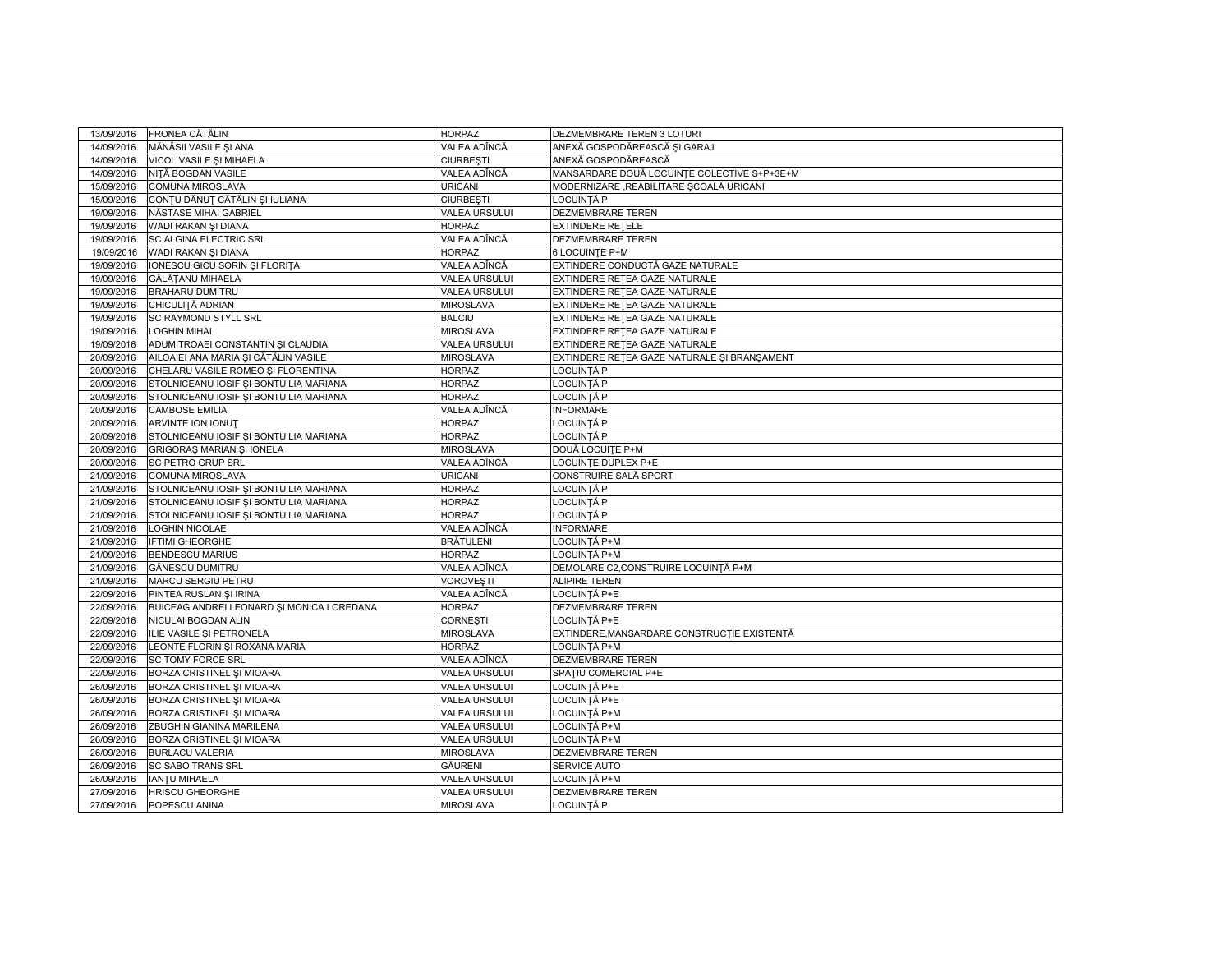| 13/09/2016 | FRONEA CĂTĂLIN                            | <b>HORPAZ</b>        | DEZMEMBRARE TEREN 3 LOTURI                  |
|------------|-------------------------------------------|----------------------|---------------------------------------------|
| 14/09/2016 | MĂNĂSII VASILE ȘI ANA                     | VALEA ADÎNCĂ         | ANEXĂ GOSPODĂREASCĂ ȘI GARAJ                |
| 14/09/2016 | VICOL VASILE ȘI MIHAELA                   | <b>CIURBESTI</b>     | ANEXĂ GOSPODĂREASCĂ                         |
| 14/09/2016 | NIȚĂ BOGDAN VASILE                        | VALEA ADÎNCĂ         | MANSARDARE DOUĂ LOCUINȚE COLECTIVE S+P+3E+M |
| 15/09/2016 | COMUNA MIROSLAVA                          | <b>URICANI</b>       | MODERNIZARE ,REABILITARE ȘCOALĂ URICANI     |
| 15/09/2016 | CONȚU DĂNUT CĂTĂLIN ȘI IULIANA            | <b>CIURBESTI</b>     | LOCUINTĂ P                                  |
| 19/09/2016 | NĂSTASE MIHAI GABRIEL                     | <b>VALEA URSULUI</b> | <b>DEZMEMBRARE TEREN</b>                    |
| 19/09/2016 | WADI RAKAN ŞI DIANA                       | <b>HORPAZ</b>        | <b>EXTINDERE RETELE</b>                     |
| 19/09/2016 | SC ALGINA ELECTRIC SRL                    | VALEA ADÎNCĂ         | DEZMEMBRARE TEREN                           |
| 19/09/2016 | WADI RAKAN ŞI DIANA                       | <b>HORPAZ</b>        | 6 LOCUINTE P+M                              |
| 19/09/2016 | IONESCU GICU SORIN ȘI FLORIȚA             | VALEA ADÎNCĂ         | EXTINDERE CONDUCTĂ GAZE NATURALE            |
| 19/09/2016 | GĂLĂTANU MIHAELA                          | <b>VALEA URSULUI</b> | EXTINDERE RETEA GAZE NATURALE               |
| 19/09/2016 | <b>BRAHARU DUMITRU</b>                    | <b>VALEA URSULUI</b> | EXTINDERE RETEA GAZE NATURALE               |
| 19/09/2016 | CHICULIȚĂ ADRIAN                          | <b>MIROSLAVA</b>     | EXTINDERE RETEA GAZE NATURALE               |
| 19/09/2016 | SC RAYMOND STYLL SRL                      | <b>BALCIU</b>        | EXTINDERE RETEA GAZE NATURALE               |
| 19/09/2016 | <b>LOGHIN MIHAI</b>                       | <b>MIROSLAVA</b>     | EXTINDERE RETEA GAZE NATURALE               |
| 19/09/2016 | ADUMITROAEI CONSTANTIN ȘI CLAUDIA         | <b>VALEA URSULUI</b> | EXTINDERE RETEA GAZE NATURALE               |
| 20/09/2016 | AILOAIEI ANA MARIA ȘI CĂTĂLIN VASILE      | <b>MIROSLAVA</b>     | EXTINDERE RETEA GAZE NATURALE ȘI BRANȘAMENT |
| 20/09/2016 | CHELARU VASILE ROMEO ȘI FLORENTINA        | <b>HORPAZ</b>        | LOCUINȚĂ P                                  |
| 20/09/2016 | STOLNICEANU IOSIF ȘI BONTU LIA MARIANA    | <b>HORPAZ</b>        | LOCUINTĂ P                                  |
| 20/09/2016 | STOLNICEANU IOSIF ȘI BONTU LIA MARIANA    | <b>HORPAZ</b>        | LOCUINȚĂ P                                  |
| 20/09/2016 | <b>CAMBOSE EMILIA</b>                     | VALEA ADÎNCĂ         | <b>INFORMARE</b>                            |
| 20/09/2016 | ARVINTE ION IONUT                         | <b>HORPAZ</b>        | LOCUINTĂ P                                  |
| 20/09/2016 | STOLNICEANU IOSIF ȘI BONTU LIA MARIANA    | <b>HORPAZ</b>        | LOCUINȚĂ P                                  |
| 20/09/2016 | GRIGORAȘ MARIAN ȘI IONELA                 | <b>MIROSLAVA</b>     | DOUĂ LOCUITE P+M                            |
| 20/09/2016 | <b>SC PETRO GRUP SRL</b>                  | VALEA ADÎNCĂ         | LOCUINTE DUPLEX P+E                         |
| 21/09/2016 | <b>COMUNA MIROSLAVA</b>                   | <b>URICANI</b>       | CONSTRUIRE SALĂ SPORT                       |
| 21/09/2016 | STOLNICEANU IOSIF ȘI BONTU LIA MARIANA    | <b>HORPAZ</b>        | LOCUINȚĂ P                                  |
| 21/09/2016 | STOLNICEANU IOSIF ȘI BONTU LIA MARIANA    | <b>HORPAZ</b>        | LOCUINTĂ P                                  |
| 21/09/2016 | STOLNICEANU IOSIF ȘI BONTU LIA MARIANA    | <b>HORPAZ</b>        | LOCUINȚĂ P                                  |
| 21/09/2016 | LOGHIN NICOLAE                            | VALEA ADÎNCĂ         | <b>INFORMARE</b>                            |
| 21/09/2016 | <b>IFTIMI GHEORGHE</b>                    | <b>BRĂTULENI</b>     | LOCUINȚĂ P+M                                |
| 21/09/2016 | <b>BENDESCU MARIUS</b>                    | <b>HORPAZ</b>        | LOCUINȚĂ P+M                                |
| 21/09/2016 | GĂNESCU DUMITRU                           | VALEA ADÎNCĂ         | DEMOLARE C2, CONSTRUIRE LOCUINȚĂ P+M        |
| 21/09/2016 | MARCU SERGIU PETRU                        | VOROVEȘTI            | <b>ALIPIRE TEREN</b>                        |
| 22/09/2016 | PINTEA RUSLAN ȘI IRINA                    | VALEA ADÎNCĂ         | LOCUINȚĂ P+E                                |
| 22/09/2016 | BUICEAG ANDREI LEONARD ȘI MONICA LOREDANA | <b>HORPAZ</b>        | DEZMEMBRARE TEREN                           |
| 22/09/2016 | NICULAI BOGDAN ALIN                       | CORNESTI             | LOCUINTĂ P+E                                |
| 22/09/2016 | ILIE VASILE ȘI PETRONELA                  | <b>MIROSLAVA</b>     | EXTINDERE, MANSARDARE CONSTRUCTIE EXISTENTĂ |
| 22/09/2016 | LEONTE FLORIN ȘI ROXANA MARIA             | <b>HORPAZ</b>        | LOCUINȚĂ P+M                                |
| 22/09/2016 | <b>SC TOMY FORCE SRL</b>                  | VALEA ADÎNCĂ         | DEZMEMBRARE TEREN                           |
| 22/09/2016 | BORZA CRISTINEL ȘI MIOARA                 | <b>VALEA URSULUI</b> | SPATIU COMERCIAL P+E                        |
| 26/09/2016 | BORZA CRISTINEL SI MIOARA                 | <b>VALEA URSULUI</b> | LOCUINȚĂ P+E                                |
| 26/09/2016 | BORZA CRISTINEL ȘI MIOARA                 | <b>VALEA URSULUI</b> | LOCUINTĂ P+E                                |
| 26/09/2016 | BORZA CRISTINEL SI MIOARA                 | <b>VALEA URSULUI</b> | LOCUINȚĂ P+M                                |
| 26/09/2016 | ZBUGHIN GIANINA MARILENA                  | <b>VALEA URSULUI</b> | LOCUINȚĂ P+M                                |
| 26/09/2016 | BORZA CRISTINEL ȘI MIOARA                 | <b>VALEA URSULUI</b> | LOCUINȚĂ P+M                                |
| 26/09/2016 | <b>BURLACU VALERIA</b>                    | <b>MIROSLAVA</b>     | DEZMEMBRARE TEREN                           |
| 26/09/2016 | <b>SC SABO TRANS SRL</b>                  | GĂURENI              | SERVICE AUTO                                |
| 26/09/2016 | <b>IANTU MIHAELA</b>                      | <b>VALEA URSULUI</b> | LOCUINTĂ P+M                                |
| 27/09/2016 | <b>HRISCU GHEORGHE</b>                    | <b>VALEA URSULUI</b> | DEZMEMBRARE TEREN                           |
| 27/09/2016 | POPESCU ANINA                             | <b>MIROSLAVA</b>     | LOCUINȚĂ P                                  |